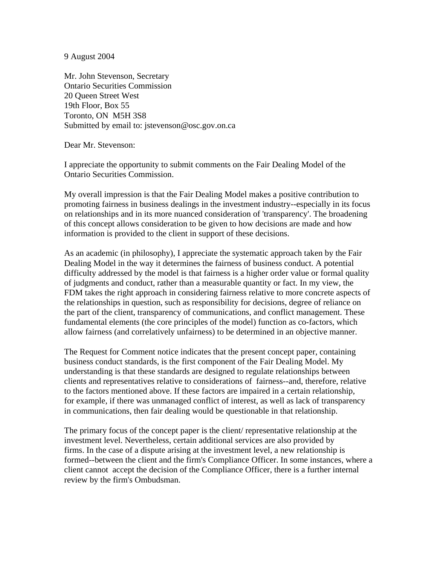9 August 2004

Mr. John Stevenson, Secretary Ontario Securities Commission 20 Queen Street West 19th Floor, Box 55 Toronto, ON M5H 3S8 Submitted by email to: jstevenson@osc.gov.on.ca

Dear Mr. Stevenson:

I appreciate the opportunity to submit comments on the Fair Dealing Model of the Ontario Securities Commission.

My overall impression is that the Fair Dealing Model makes a positive contribution to promoting fairness in business dealings in the investment industry--especially in its focus on relationships and in its more nuanced consideration of 'transparency'. The broadening of this concept allows consideration to be given to how decisions are made and how information is provided to the client in support of these decisions.

As an academic (in philosophy), I appreciate the systematic approach taken by the Fair Dealing Model in the way it determines the fairness of business conduct. A potential difficulty addressed by the model is that fairness is a higher order value or formal quality of judgments and conduct, rather than a measurable quantity or fact. In my view, the FDM takes the right approach in considering fairness relative to more concrete aspects of the relationships in question, such as responsibility for decisions, degree of reliance on the part of the client, transparency of communications, and conflict management. These fundamental elements (the core principles of the model) function as co-factors, which allow fairness (and correlatively unfairness) to be determined in an objective manner.

The Request for Comment notice indicates that the present concept paper, containing business conduct standards, is the first component of the Fair Dealing Model. My understanding is that these standards are designed to regulate relationships between clients and representatives relative to considerations of fairness--and, therefore, relative to the factors mentioned above. If these factors are impaired in a certain relationship, for example, if there was unmanaged conflict of interest, as well as lack of transparency in communications, then fair dealing would be questionable in that relationship.

The primary focus of the concept paper is the client/ representative relationship at the investment level. Nevertheless, certain additional services are also provided by firms. In the case of a dispute arising at the investment level, a new relationship is formed--between the client and the firm's Compliance Officer. In some instances, where a client cannot accept the decision of the Compliance Officer, there is a further internal review by the firm's Ombudsman.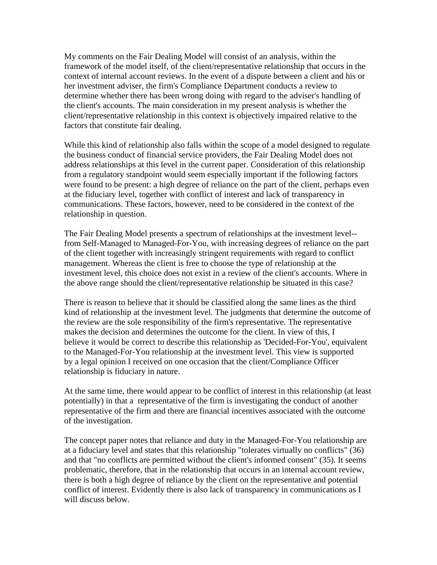My comments on the Fair Dealing Model will consist of an analysis, within the framework of the model itself, of the client/representative relationship that occurs in the context of internal account reviews. In the event of a dispute between a client and his or her investment adviser, the firm's Compliance Department conducts a review to determine whether there has been wrong doing with regard to the adviser's handling of the client's accounts. The main consideration in my present analysis is whether the client/representative relationship in this context is objectively impaired relative to the factors that constitute fair dealing.

While this kind of relationship also falls within the scope of a model designed to regulate the business conduct of financial service providers, the Fair Dealing Model does not address relationships at this level in the current paper. Consideration of this relationship from a regulatory standpoint would seem especially important if the following factors were found to be present: a high degree of reliance on the part of the client, perhaps even at the fiduciary level, together with conflict of interest and lack of transparency in communications. These factors, however, need to be considered in the context of the relationship in question.

The Fair Dealing Model presents a spectrum of relationships at the investment level- from Self-Managed to Managed-For-You, with increasing degrees of reliance on the part of the client together with increasingly stringent requirements with regard to conflict management. Whereas the client is free to choose the type of relationship at the investment level, this choice does not exist in a review of the client's accounts. Where in the above range should the client/representative relationship be situated in this case?

There is reason to believe that it should be classified along the same lines as the third kind of relationship at the investment level. The judgments that determine the outcome of the review are the sole responsibility of the firm's representative. The representative makes the decision and determines the outcome for the client. In view of this, I believe it would be correct to describe this relationship as 'Decided-For-You', equivalent to the Managed-For-You relationship at the investment level. This view is supported by a legal opinion I received on one occasion that the client/Compliance Officer relationship is fiduciary in nature.

At the same time, there would appear to be conflict of interest in this relationship (at least potentially) in that a representative of the firm is investigating the conduct of another representative of the firm and there are financial incentives associated with the outcome of the investigation.

The concept paper notes that reliance and duty in the Managed-For-You relationship are at a fiduciary level and states that this relationship "tolerates virtually no conflicts" (36) and that "no conflicts are permitted without the client's informed consent" (35). It seems problematic, therefore, that in the relationship that occurs in an internal account review, there is both a high degree of reliance by the client on the representative and potential conflict of interest. Evidently there is also lack of transparency in communications as I will discuss below.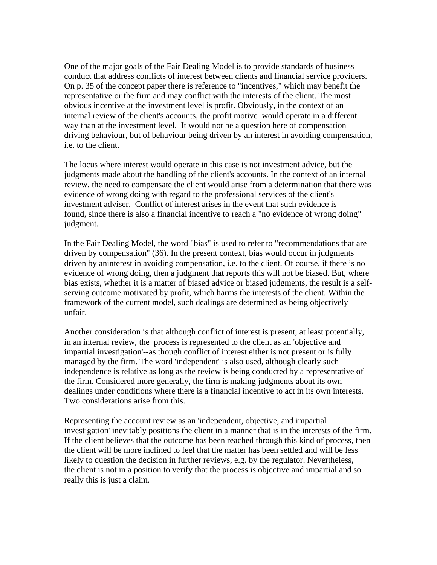One of the major goals of the Fair Dealing Model is to provide standards of business conduct that address conflicts of interest between clients and financial service providers. On p. 35 of the concept paper there is reference to "incentives," which may benefit the representative or the firm and may conflict with the interests of the client. The most obvious incentive at the investment level is profit. Obviously, in the context of an internal review of the client's accounts, the profit motive would operate in a different way than at the investment level. It would not be a question here of compensation driving behaviour, but of behaviour being driven by an interest in avoiding compensation, i.e. to the client.

The locus where interest would operate in this case is not investment advice, but the judgments made about the handling of the client's accounts. In the context of an internal review, the need to compensate the client would arise from a determination that there was evidence of wrong doing with regard to the professional services of the client's investment adviser. Conflict of interest arises in the event that such evidence is found, since there is also a financial incentive to reach a "no evidence of wrong doing" judgment.

In the Fair Dealing Model, the word "bias" is used to refer to "recommendations that are driven by compensation" (36). In the present context, bias would occur in judgments driven by aninterest in avoiding compensation, i.e. to the client. Of course, if there is no evidence of wrong doing, then a judgment that reports this will not be biased. But, where bias exists, whether it is a matter of biased advice or biased judgments, the result is a selfserving outcome motivated by profit, which harms the interests of the client. Within the framework of the current model, such dealings are determined as being objectively unfair.

Another consideration is that although conflict of interest is present, at least potentially, in an internal review, the process is represented to the client as an 'objective and impartial investigation'--as though conflict of interest either is not present or is fully managed by the firm. The word 'independent' is also used, although clearly such independence is relative as long as the review is being conducted by a representative of the firm. Considered more generally, the firm is making judgments about its own dealings under conditions where there is a financial incentive to act in its own interests. Two considerations arise from this.

Representing the account review as an 'independent, objective, and impartial investigation' inevitably positions the client in a manner that is in the interests of the firm. If the client believes that the outcome has been reached through this kind of process, then the client will be more inclined to feel that the matter has been settled and will be less likely to question the decision in further reviews, e.g. by the regulator. Nevertheless, the client is not in a position to verify that the process is objective and impartial and so really this is just a claim.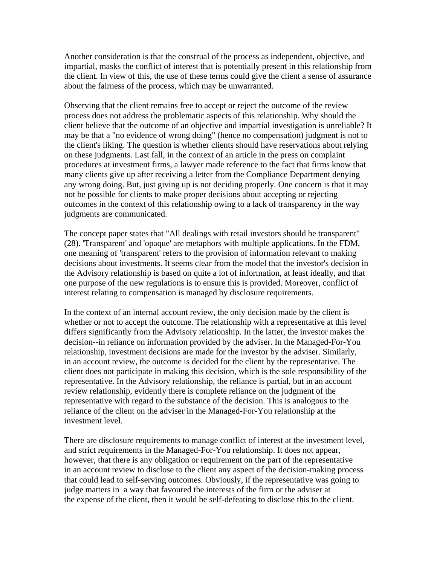Another consideration is that the construal of the process as independent, objective, and impartial, masks the conflict of interest that is potentially present in this relationship from the client. In view of this, the use of these terms could give the client a sense of assurance about the fairness of the process, which may be unwarranted.

Observing that the client remains free to accept or reject the outcome of the review process does not address the problematic aspects of this relationship. Why should the client believe that the outcome of an objective and impartial investigation is unreliable? It may be that a "no evidence of wrong doing" (hence no compensation) judgment is not to the client's liking. The question is whether clients should have reservations about relying on these judgments. Last fall, in the context of an article in the press on complaint procedures at investment firms, a lawyer made reference to the fact that firms know that many clients give up after receiving a letter from the Compliance Department denying any wrong doing. But, just giving up is not deciding properly. One concern is that it may not be possible for clients to make proper decisions about accepting or rejecting outcomes in the context of this relationship owing to a lack of transparency in the way judgments are communicated.

The concept paper states that "All dealings with retail investors should be transparent" (28). 'Transparent' and 'opaque' are metaphors with multiple applications. In the FDM, one meaning of 'transparent' refers to the provision of information relevant to making decisions about investments. It seems clear from the model that the investor's decision in the Advisory relationship is based on quite a lot of information, at least ideally, and that one purpose of the new regulations is to ensure this is provided. Moreover, conflict of interest relating to compensation is managed by disclosure requirements.

In the context of an internal account review, the only decision made by the client is whether or not to accept the outcome. The relationship with a representative at this level differs significantly from the Advisory relationship. In the latter, the investor makes the decision--in reliance on information provided by the adviser. In the Managed-For-You relationship, investment decisions are made for the investor by the adviser. Similarly, in an account review, the outcome is decided for the client by the representative. The client does not participate in making this decision, which is the sole responsibility of the representative. In the Advisory relationship, the reliance is partial, but in an account review relationship, evidently there is complete reliance on the judgment of the representative with regard to the substance of the decision. This is analogous to the reliance of the client on the adviser in the Managed-For-You relationship at the investment level.

There are disclosure requirements to manage conflict of interest at the investment level, and strict requirements in the Managed-For-You relationship. It does not appear, however, that there is any obligation or requirement on the part of the representative in an account review to disclose to the client any aspect of the decision-making process that could lead to self-serving outcomes. Obviously, if the representative was going to judge matters in a way that favoured the interests of the firm or the adviser at the expense of the client, then it would be self-defeating to disclose this to the client.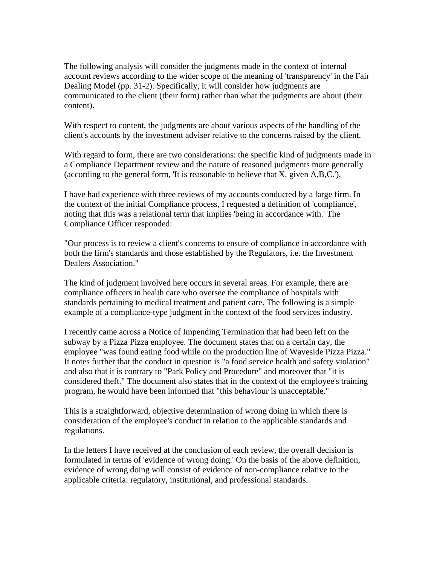The following analysis will consider the judgments made in the context of internal account reviews according to the wider scope of the meaning of 'transparency' in the Fair Dealing Model (pp. 31-2). Specifically, it will consider how judgments are communicated to the client (their form) rather than what the judgments are about (their content).

With respect to content, the judgments are about various aspects of the handling of the client's accounts by the investment adviser relative to the concerns raised by the client.

With regard to form, there are two considerations: the specific kind of judgments made in a Compliance Department review and the nature of reasoned judgments more generally (according to the general form, 'It is reasonable to believe that X, given A,B,C.').

I have had experience with three reviews of my accounts conducted by a large firm. In the context of the initial Compliance process, I requested a definition of 'compliance', noting that this was a relational term that implies 'being in accordance with.' The Compliance Officer responded:

"Our process is to review a client's concerns to ensure of compliance in accordance with both the firm's standards and those established by the Regulators, i.e. the Investment Dealers Association."

The kind of judgment involved here occurs in several areas. For example, there are compliance officers in health care who oversee the compliance of hospitals with standards pertaining to medical treatment and patient care. The following is a simple example of a compliance-type judgment in the context of the food services industry.

I recently came across a Notice of Impending Termination that had been left on the subway by a Pizza Pizza employee. The document states that on a certain day, the employee "was found eating food while on the production line of Waveside Pizza Pizza." It notes further that the conduct in question is "a food service health and safety violation" and also that it is contrary to "Park Policy and Procedure" and moreover that "it is considered theft." The document also states that in the context of the employee's training program, he would have been informed that "this behaviour is unacceptable."

This is a straightforward, objective determination of wrong doing in which there is consideration of the employee's conduct in relation to the applicable standards and regulations.

In the letters I have received at the conclusion of each review, the overall decision is formulated in terms of 'evidence of wrong doing.' On the basis of the above definition, evidence of wrong doing will consist of evidence of non-compliance relative to the applicable criteria: regulatory, institutional, and professional standards.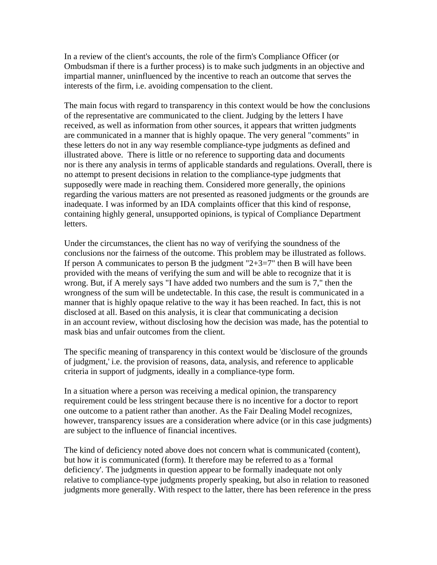In a review of the client's accounts, the role of the firm's Compliance Officer (or Ombudsman if there is a further process) is to make such judgments in an objective and impartial manner, uninfluenced by the incentive to reach an outcome that serves the interests of the firm, i.e. avoiding compensation to the client.

The main focus with regard to transparency in this context would be how the conclusions of the representative are communicated to the client. Judging by the letters I have received, as well as information from other sources, it appears that written judgments are communicated in a manner that is highly opaque. The very general "comments" in these letters do not in any way resemble compliance-type judgments as defined and illustrated above. There is little or no reference to supporting data and documents nor is there any analysis in terms of applicable standards and regulations. Overall, there is no attempt to present decisions in relation to the compliance-type judgments that supposedly were made in reaching them. Considered more generally, the opinions regarding the various matters are not presented as reasoned judgments or the grounds are inadequate. I was informed by an IDA complaints officer that this kind of response, containing highly general, unsupported opinions, is typical of Compliance Department letters.

Under the circumstances, the client has no way of verifying the soundness of the conclusions nor the fairness of the outcome. This problem may be illustrated as follows. If person A communicates to person B the judgment " $2+3=7$ " then B will have been provided with the means of verifying the sum and will be able to recognize that it is wrong. But, if A merely says "I have added two numbers and the sum is 7," then the wrongness of the sum will be undetectable. In this case, the result is communicated in a manner that is highly opaque relative to the way it has been reached. In fact, this is not disclosed at all. Based on this analysis, it is clear that communicating a decision in an account review, without disclosing how the decision was made, has the potential to mask bias and unfair outcomes from the client.

The specific meaning of transparency in this context would be 'disclosure of the grounds of judgment,' i.e. the provision of reasons, data, analysis, and reference to applicable criteria in support of judgments, ideally in a compliance-type form.

In a situation where a person was receiving a medical opinion, the transparency requirement could be less stringent because there is no incentive for a doctor to report one outcome to a patient rather than another. As the Fair Dealing Model recognizes, however, transparency issues are a consideration where advice (or in this case judgments) are subject to the influence of financial incentives.

The kind of deficiency noted above does not concern what is communicated (content), but how it is communicated (form). It therefore may be referred to as a 'formal deficiency'. The judgments in question appear to be formally inadequate not only relative to compliance-type judgments properly speaking, but also in relation to reasoned judgments more generally. With respect to the latter, there has been reference in the press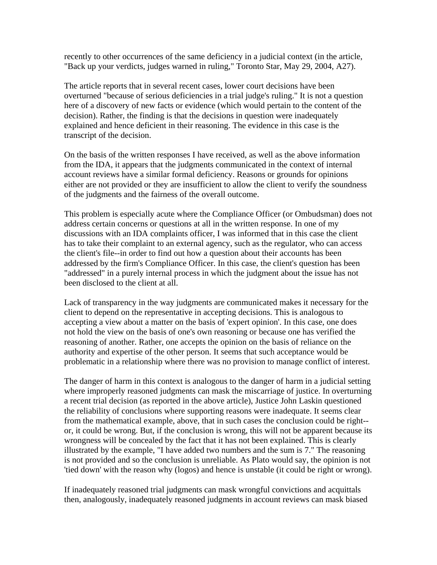recently to other occurrences of the same deficiency in a judicial context (in the article, "Back up your verdicts, judges warned in ruling," Toronto Star, May 29, 2004, A27).

The article reports that in several recent cases, lower court decisions have been overturned "because of serious deficiencies in a trial judge's ruling." It is not a question here of a discovery of new facts or evidence (which would pertain to the content of the decision). Rather, the finding is that the decisions in question were inadequately explained and hence deficient in their reasoning. The evidence in this case is the transcript of the decision.

On the basis of the written responses I have received, as well as the above information from the IDA, it appears that the judgments communicated in the context of internal account reviews have a similar formal deficiency. Reasons or grounds for opinions either are not provided or they are insufficient to allow the client to verify the soundness of the judgments and the fairness of the overall outcome.

This problem is especially acute where the Compliance Officer (or Ombudsman) does not address certain concerns or questions at all in the written response. In one of my discussions with an IDA complaints officer, I was informed that in this case the client has to take their complaint to an external agency, such as the regulator, who can access the client's file--in order to find out how a question about their accounts has been addressed by the firm's Compliance Officer. In this case, the client's question has been "addressed" in a purely internal process in which the judgment about the issue has not been disclosed to the client at all.

Lack of transparency in the way judgments are communicated makes it necessary for the client to depend on the representative in accepting decisions. This is analogous to accepting a view about a matter on the basis of 'expert opinion'. In this case, one does not hold the view on the basis of one's own reasoning or because one has verified the reasoning of another. Rather, one accepts the opinion on the basis of reliance on the authority and expertise of the other person. It seems that such acceptance would be problematic in a relationship where there was no provision to manage conflict of interest.

The danger of harm in this context is analogous to the danger of harm in a judicial setting where improperly reasoned judgments can mask the miscarriage of justice. In overturning a recent trial decision (as reported in the above article), Justice John Laskin questioned the reliability of conclusions where supporting reasons were inadequate. It seems clear from the mathematical example, above, that in such cases the conclusion could be right- or, it could be wrong. But, if the conclusion is wrong, this will not be apparent because its wrongness will be concealed by the fact that it has not been explained. This is clearly illustrated by the example, "I have added two numbers and the sum is 7." The reasoning is not provided and so the conclusion is unreliable. As Plato would say, the opinion is not 'tied down' with the reason why (logos) and hence is unstable (it could be right or wrong).

If inadequately reasoned trial judgments can mask wrongful convictions and acquittals then, analogously, inadequately reasoned judgments in account reviews can mask biased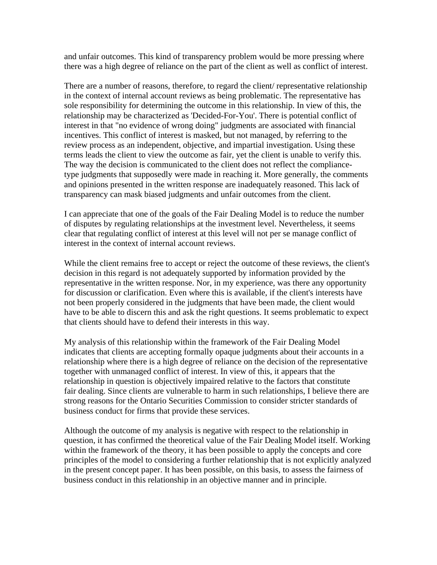and unfair outcomes. This kind of transparency problem would be more pressing where there was a high degree of reliance on the part of the client as well as conflict of interest.

There are a number of reasons, therefore, to regard the client/ representative relationship in the context of internal account reviews as being problematic. The representative has sole responsibility for determining the outcome in this relationship. In view of this, the relationship may be characterized as 'Decided-For-You'. There is potential conflict of interest in that "no evidence of wrong doing" judgments are associated with financial incentives. This conflict of interest is masked, but not managed, by referring to the review process as an independent, objective, and impartial investigation. Using these terms leads the client to view the outcome as fair, yet the client is unable to verify this. The way the decision is communicated to the client does not reflect the compliancetype judgments that supposedly were made in reaching it. More generally, the comments and opinions presented in the written response are inadequately reasoned. This lack of transparency can mask biased judgments and unfair outcomes from the client.

I can appreciate that one of the goals of the Fair Dealing Model is to reduce the number of disputes by regulating relationships at the investment level. Nevertheless, it seems clear that regulating conflict of interest at this level will not per se manage conflict of interest in the context of internal account reviews.

While the client remains free to accept or reject the outcome of these reviews, the client's decision in this regard is not adequately supported by information provided by the representative in the written response. Nor, in my experience, was there any opportunity for discussion or clarification. Even where this is available, if the client's interests have not been properly considered in the judgments that have been made, the client would have to be able to discern this and ask the right questions. It seems problematic to expect that clients should have to defend their interests in this way.

My analysis of this relationship within the framework of the Fair Dealing Model indicates that clients are accepting formally opaque judgments about their accounts in a relationship where there is a high degree of reliance on the decision of the representative together with unmanaged conflict of interest. In view of this, it appears that the relationship in question is objectively impaired relative to the factors that constitute fair dealing. Since clients are vulnerable to harm in such relationships, I believe there are strong reasons for the Ontario Securities Commission to consider stricter standards of business conduct for firms that provide these services.

Although the outcome of my analysis is negative with respect to the relationship in question, it has confirmed the theoretical value of the Fair Dealing Model itself. Working within the framework of the theory, it has been possible to apply the concepts and core principles of the model to considering a further relationship that is not explicitly analyzed in the present concept paper. It has been possible, on this basis, to assess the fairness of business conduct in this relationship in an objective manner and in principle.